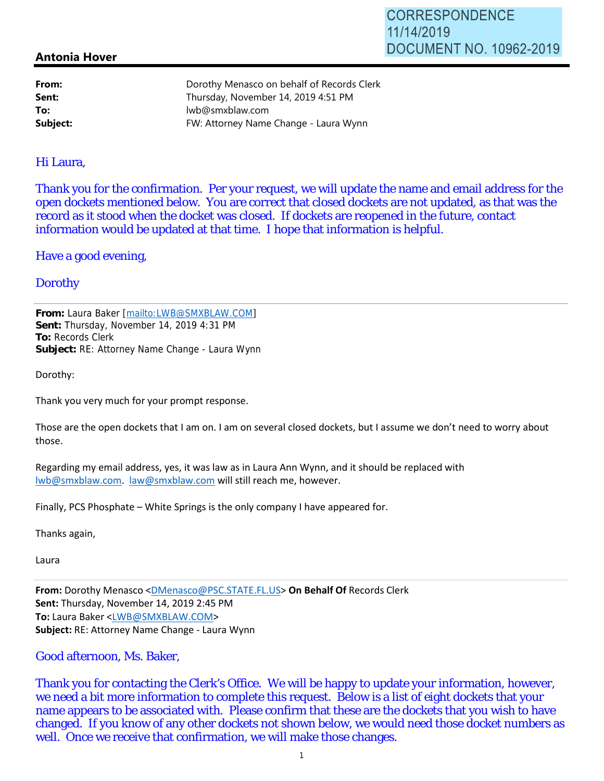## **Antonia Hover**

| From:    | Dorothy Menasco on behalf of Records Clerk |
|----------|--------------------------------------------|
| Sent:    | Thursday, November 14, 2019 4:51 PM        |
| To:      | lwb@smxblaw.com                            |
| Subject: | FW: Attorney Name Change - Laura Wynn      |
|          |                                            |

#### Hi Laura,

Thank you for the confirmation. Per your request, we will update the name and email address for the open dockets mentioned below. You are correct that closed dockets are not updated, as that was the record as it stood when the docket was closed. If dockets are reopened in the future, contact information would be updated at that time. I hope that information is helpful.

Have a good evening,

## **Dorothy**

**From:** Laura Baker [mailto:LWB@SMXBLAW.COM] **Sent:** Thursday, November 14, 2019 4:31 PM **To:** Records Clerk **Subject:** RE: Attorney Name Change - Laura Wynn

Dorothy:

Thank you very much for your prompt response.

Those are the open dockets that I am on. I am on several closed dockets, but I assume we don't need to worry about those.

Regarding my email address, yes, it was law as in Laura Ann Wynn, and it should be replaced with lwb@smxblaw.com. law@smxblaw.com will still reach me, however.

Finally, PCS Phosphate – White Springs is the only company I have appeared for.

Thanks again,

Laura

**From:** Dorothy Menasco <DMenasco@PSC.STATE.FL.US> **On Behalf Of** Records Clerk **Sent:** Thursday, November 14, 2019 2:45 PM **To:** Laura Baker <LWB@SMXBLAW.COM> **Subject:** RE: Attorney Name Change - Laura Wynn

## Good afternoon, Ms. Baker,

Thank you for contacting the Clerk's Office. We will be happy to update your information, however, we need a bit more information to complete this request. Below is a list of eight dockets that your name appears to be associated with. Please confirm that these are the dockets that you wish to have changed. If you know of any other dockets not shown below, we would need those docket numbers as well. Once we receive that confirmation, we will make those changes.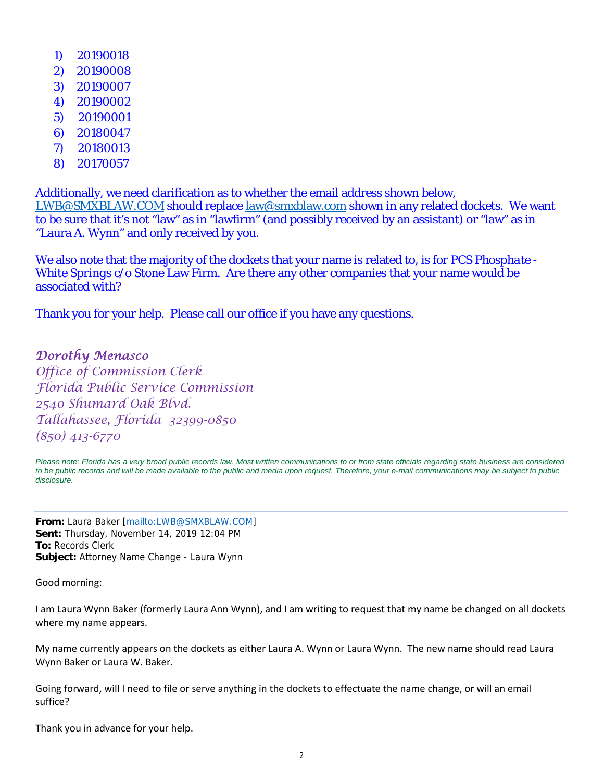- 1) 20190018
- 2) 20190008
- 3) 20190007
- 4) 20190002
- 5) 20190001
- 6) 20180047
- 7) 20180013
- 8) 20170057

Additionally, we need clarification as to whether the email address shown below, LWB@SMXBLAW.COM should replace law@smxblaw.com shown in any related dockets. We want to be sure that it's not "law" as in "lawfirm" (and possibly received by an assistant) or "law" as in "Laura A. Wynn" and only received by you.

We also note that the majority of the dockets that your name is related to, is for *PCS Phosphate - White Springs* c/o Stone Law Firm. Are there any other companies that your name would be associated with?

Thank you for your help. Please call our office if you have any questions.

# Dorothy Menasco

Office of Commission Clerk Florida Public Service Commission 2540 Shumard Oak Blvd. Tallahassee, Florida 32399-0850 (850) 413-6770

*Please note: Florida has a very broad public records law. Most written communications to or from state officials regarding state business are considered to be public records and will be made available to the public and media upon request. Therefore, your e-mail communications may be subject to public disclosure.*

**From:** Laura Baker [mailto:LWB@SMXBLAW.COM] **Sent:** Thursday, November 14, 2019 12:04 PM **To:** Records Clerk **Subject:** Attorney Name Change - Laura Wynn

Good morning:

I am Laura Wynn Baker (formerly Laura Ann Wynn), and I am writing to request that my name be changed on all dockets where my name appears.

My name currently appears on the dockets as either Laura A. Wynn or Laura Wynn. The new name should read Laura Wynn Baker or Laura W. Baker.

Going forward, will I need to file or serve anything in the dockets to effectuate the name change, or will an email suffice?

Thank you in advance for your help.